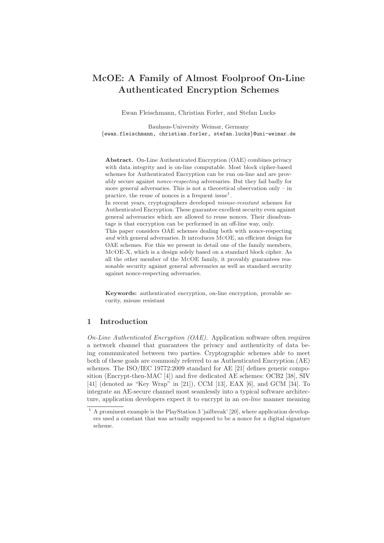# McOE: A Family of Almost Foolproof On-Line Authenticated Encryption Schemes

Ewan Fleischmann, Christian Forler, and Stefan Lucks

Bauhaus-University Weimar, Germany {ewan.fleischmann, christian.forler, stefan.lucks}@uni-weimar.de

Abstract. On-Line Authenticated Encryption (OAE) combines privacy with data integrity and is on-line computable. Most block cipher-based schemes for Authenticated Encryption can be run on-line and are provably secure against nonce-respecting adversaries. But they fail badly for more general adversaries. This is not a theoretical observation only – in practice, the reuse of nonces is a frequent issue<sup>1</sup>.

In recent years, cryptographers developed misuse-resistant schemes for Authenticated Encryption. These guarantee excellent security even against general adversaries which are allowed to reuse nonces. Their disadvantage is that encryption can be performed in an off-line way, only.

This paper considers OAE schemes dealing both with nonce-respecting and with general adversaries. It introduces McOE, an efficient design for OAE schemes. For this we present in detail one of the family members, McOE-X, which is a design solely based on a standard block cipher. As all the other member of the McOE family, it provably guarantees reasonable security against general adversaries as well as standard security against nonce-respecting adversaries.

Keywords: authenticated encryption, on-line encryption, provable security, misuse resistant

### 1 Introduction

On-Line Authenticated Encryption (OAE). Application software often requires a network channel that guarantees the privacy and authenticity of data being communicated between two parties. Cryptographic schemes able to meet both of these goals are commonly referred to as Authenticated Encryption (AE) schemes. The ISO/IEC 19772:2009 standard for AE [21] defines generic composition (Encrypt-then-MAC [4]) and five dedicated AE schemes: OCB2 [38], SIV [41] (denoted as "Key Wrap" in [21]), CCM [13], EAX [6], and GCM [34]. To integrate an AE-secure channel most seamlessly into a typical software architecture, application developers expect it to encrypt in an *on-line* manner meaning

 $1 A$  prominent example is the PlayStation 3 'jailbreak' [20], where application developers used a constant that was actually supposed to be a nonce for a digital signature scheme.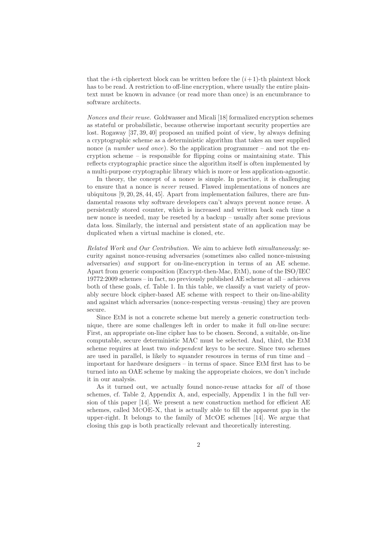that the *i*-th ciphertext block can be written before the  $(i+1)$ -th plaintext block has to be read. A restriction to off-line encryption, where usually the entire plaintext must be known in advance (or read more than once) is an encumbrance to software architects.

Nonces and their reuse. Goldwasser and Micali [18] formalized encryption schemes as stateful or probabilistic, because otherwise important security properties are lost. Rogaway [37, 39, 40] proposed an unified point of view, by always defining a cryptographic scheme as a deterministic algorithm that takes an user supplied nonce (a *number used once*). So the application programmer – and not the encryption scheme – is responsible for flipping coins or maintaining state. This reflects cryptographic practice since the algorithm itself is often implemented by a multi-purpose cryptographic library which is more or less application-agnostic.

In theory, the concept of a nonce is simple. In practice, it is challenging to ensure that a nonce is never reused. Flawed implementations of nonces are ubiquitous [9, 20, 28, 44, 45]. Apart from implementation failures, there are fundamental reasons why software developers can't always prevent nonce reuse. A persistently stored counter, which is increased and written back each time a new nonce is needed, may be reseted by a backup – usually after some previous data loss. Similarly, the internal and persistent state of an application may be duplicated when a virtual machine is cloned, etc.

Related Work and Our Contribution. We aim to achieve both simultaneously: security against nonce-reusing adversaries (sometimes also called nonce-misusing adversaries) and support for on-line-encryption in terms of an AE scheme. Apart from generic composition (Encrypt-then-Mac, EtM), none of the ISO/IEC 19772:2009 schemes – in fact, no previously published AE scheme at all – achieves both of these goals, cf. Table 1. In this table, we classify a vast variety of provably secure block cipher-based AE scheme with respect to their on-line-ability and against which adversaries (nonce-respecting versus -reusing) they are proven secure.

Since EtM is not a concrete scheme but merely a generic construction technique, there are some challenges left in order to make it full on-line secure: First, an appropriate on-line cipher has to be chosen. Second, a suitable, on-line computable, secure deterministic MAC must be selected. And, third, the EtM scheme requires at least two *independent* keys to be secure. Since two schemes are used in parallel, is likely to squander resources in terms of run time and – important for hardware designers – in terms of space. Since EtM first has to be turned into an OAE scheme by making the appropriate choices, we don't include it in our analysis.

As it turned out, we actually found nonce-reuse attacks for all of those schemes, cf. Table 2, Appendix A, and, especially, Appendix 1 in the full version of this paper [14]. We present a new construction method for efficient AE schemes, called McOE-X, that is actually able to fill the apparent gap in the upper-right. It belongs to the family of McOE schemes [14]. We argue that closing this gap is both practically relevant and theoretically interesting.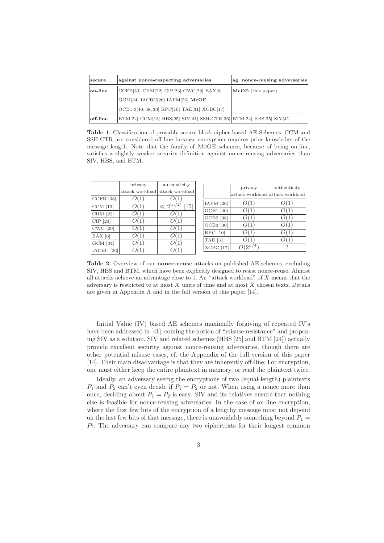| secure   | against nonce-respecting adversaries                                | ag. nonce-reusing adversaries |  |  |  |
|----------|---------------------------------------------------------------------|-------------------------------|--|--|--|
| on-line  | CCFB[33] CHM[22] CIP[23] CWC[29] EAX[6]                             | McOE (this paper)             |  |  |  |
|          | $ GCM[34]$ IACBC[26] IAPM[26] McOE                                  |                               |  |  |  |
|          | $[OCB1-3[40, 38, 30]$ RPC $[10]$ TAE $[31]$ XCBC $[17]$             |                               |  |  |  |
| off-line | BTM[24] CCM[13] HBS[25] SIV[41] SSH-CTR[36] BTM[24] HBS[25] SIV[41] |                               |  |  |  |

Table 1. Classification of provably secure block cipher-based AE Schemes. CCM and SSH-CTR are considered off-line because encryption requires prior knowledge of the message length. Note that the family of McOE schemes, because of being on-line, satisfies a slightly weaker security definition against nonce-reusing adversaries than SIV, HBS, and BTM.

|                 | privacy | authenticity                         |                   | privacy                         |
|-----------------|---------|--------------------------------------|-------------------|---------------------------------|
|                 |         | attack workload attack workload      |                   | attack workload attack workload |
| $CCFB$ [33]     |         |                                      |                   |                                 |
| $CCM$ [13]      | O(1)    | $\ll 2^{(\overline{n}/2)}$<br>$[15]$ | $IAPM$ [26]       | O(1)                            |
| CHM [22]        | O(1)    | O(1)                                 | $OCB1$ [40]       | O(1)                            |
| $CIP$ [23]      | O(1)    | O(1)                                 | OCB2 [38]         | O(1)                            |
| <b>CWC</b> [29] | O(1)    | O(1)                                 | OCB3 [30]         | O(1)                            |
| $EAX$ [6]       | OC T    | O(1)                                 | $\text{RPC}$ [10] | O(1)                            |
| $GCM$ [34]      | O(1)    | O(1)                                 | <b>TAE</b> [31]   | O(1)                            |
| $IACBC$ [26]    |         | O(1)                                 | $XCBC$ [17]       | $O(2^{n/4})$                    |
|                 |         |                                      |                   |                                 |

Table 2. Overview of our nonce-reuse attacks on published AE schemes, excluding SIV, HBS and BTM, which have been explicitly designed to resist nonce-reuse. Almost all attacks achieve an advantage close to 1. An "attack workload" of X means that the adversary is restricted to at most  $X$  units of time and at most  $X$  chosen texts. Details are given in Appendix A and in the full version of this paper [14].

Initial Value (IV) based AE schemes maximally forgiving of repeated IV's have been addressed in [41], coining the notion of "misuse resistance" and proposing SIV as a solution. SIV and related schemes (HBS [25] and BTM [24]) actually provide excellent security against nonce-reusing adversaries, though there are other potential misuse cases, cf. the Appendix of the full version of this paper [14]. Their main disadvantage is that they are inherently off-line: For encryption, one must either keep the entire plaintext in memory, or read the plaintext twice.

Ideally, an adversary seeing the encryptions of two (equal-length) plaintexts  $P_1$  and  $P_2$  can't even decide if  $P_1 = P_2$  or not. When using a nonce more than once, deciding about  $P_1 = P_2$  is easy. SIV and its relatives ensure that nothing else is feasible for nonce-reusing adversaries. In the case of on-line encryption, where the first few bits of the encryption of a lengthy message must not depend on the last few bits of that message, there is unavoidably something beyond  $P_1$  =  $P_2$ . The adversary can compare any two ciphertexts for their longest common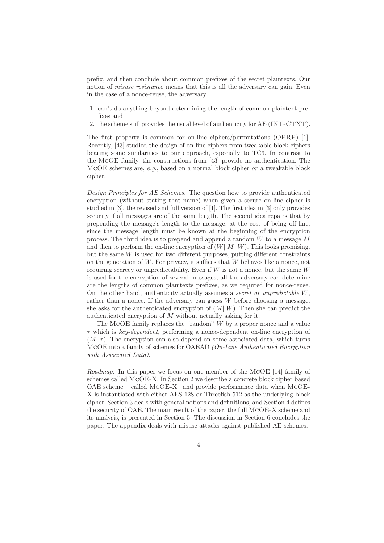prefix, and then conclude about common prefixes of the secret plaintexts. Our notion of *misuse resistance* means that this is all the adversary can gain. Even in the case of a nonce-reuse, the adversary

- 1. can't do anything beyond determining the length of common plaintext prefixes and
- 2. the scheme still provides the usual level of authenticity for AE (INT-CTXT).

The first property is common for on-line ciphers/permutations (OPRP) [1]. Recently, [43] studied the design of on-line ciphers from tweakable block ciphers bearing some similarities to our approach, especially to TC3. In contrast to the McOE family, the constructions from [43] provide no authentication. The MCOE schemes are,  $e.g.,$  based on a normal block cipher or a tweakable block cipher.

Design Principles for AE Schemes. The question how to provide authenticated encryption (without stating that name) when given a secure on-line cipher is studied in [3], the revised and full version of [1]. The first idea in [3] only provides security if all messages are of the same length. The second idea repairs that by prepending the message's length to the message, at the cost of being off-line, since the message length must be known at the beginning of the encryption process. The third idea is to prepend and append a random W to a message M and then to perform the on-line encryption of  $(W||M||W)$ . This looks promising, but the same  $W$  is used for two different purposes, putting different constraints on the generation of  $W$ . For privacy, it suffices that  $W$  behaves like a nonce, not requiring secrecy or unpredictability. Even if  $W$  is not a nonce, but the same  $W$ is used for the encryption of several messages, all the adversary can determine are the lengths of common plaintexts prefixes, as we required for nonce-reuse. On the other hand, authenticity actually assumes a secret or unpredictable W, rather than a nonce. If the adversary can guess W before choosing a message, she asks for the authenticated encryption of  $(M||W)$ . Then she can predict the authenticated encryption of M without actually asking for it.

The McOE family replaces the "random" W by a proper nonce and a value  $\tau$  which is key-dependent, performing a nonce-dependent on-line encryption of  $(M||\tau)$ . The encryption can also depend on some associated data, which turns McOE into a family of schemes for OAEAD (On-Line Authenticated Encryption with Associated Data).

Roadmap. In this paper we focus on one member of the McOE [14] family of schemes called McOE-X. In Section 2 we describe a concrete block cipher based OAE scheme – called McOE-X– and provide performance data when McOE-X is instantiated with either AES-128 or Threefish-512 as the underlying block cipher. Section 3 deals with general notions and definitions, and Section 4 defines the security of OAE. The main result of the paper, the full McOE-X scheme and its analysis, is presented in Section 5. The discussion in Section 6 concludes the paper. The appendix deals with misuse attacks against published AE schemes.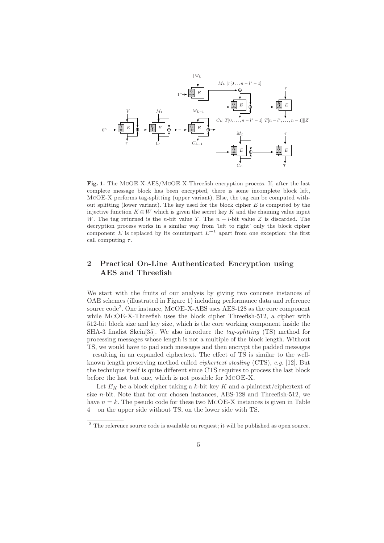

Fig. 1. The McOE-X-AES/McOE-X-Threefish encryption process. If, after the last complete message block has been encrypted, there is some incomplete block left, McOE-X performs tag-splitting (upper variant), Else, the tag can be computed without splitting (lower variant). The key used for the block cipher  $E$  is computed by the injective function  $K \oplus W$  which is given the secret key K and the chaining value input W. The tag returned is the n-bit value T. The  $n - l$ -bit value Z is discarded. The decryption process works in a similar way from 'left to right' only the block cipher component E is replaced by its counterpart  $E^{-1}$  apart from one exception: the first call computing  $\tau$ .

## 2 Practical On-Line Authenticated Encryption using AES and Threefish

We start with the fruits of our analysis by giving two concrete instances of OAE schemes (illustrated in Figure 1) including performance data and reference source code<sup>2</sup>. One instance, MCOE-X-AES uses AES-128 as the core component while McOE-X-Threefish uses the block cipher Threefish-512, a cipher with 512-bit block size and key size, which is the core working component inside the SHA-3 finalist Skein<sup>[35]</sup>. We also introduce the *tag-splitting* (TS) method for processing messages whose length is not a multiple of the block length. Without TS, we would have to pad such messages and then encrypt the padded messages – resulting in an expanded ciphertext. The effect of TS is similar to the wellknown length preserving method called ciphertext stealing (CTS), e.g. [12]. But the technique itself is quite different since CTS requires to process the last block before the last but one, which is not possible for McOE-X.

Let  $E_K$  be a block cipher taking a k-bit key K and a plaintext/ciphertext of size n-bit. Note that for our chosen instances, AES-128 and Threefish-512, we have  $n = k$ . The pseudo code for these two McOE-X instances is given in Table 4 – on the upper side without TS, on the lower side with TS.

<sup>&</sup>lt;sup>2</sup> The reference source code is available on request; it will be published as open source.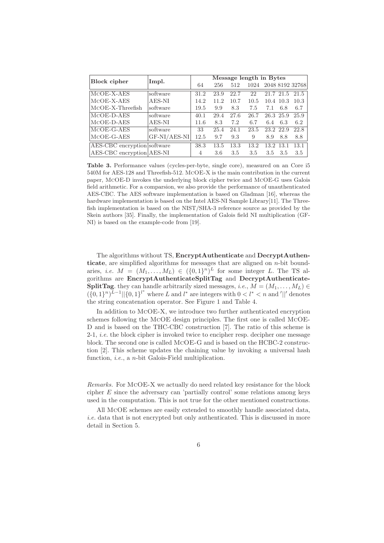| <b>Block cipher</b>         | Impl.        | Message length in Bytes |      |      |      |           |           |                      |
|-----------------------------|--------------|-------------------------|------|------|------|-----------|-----------|----------------------|
|                             |              | 64                      | 256  | 512  |      |           |           | 1024 2048 8192 32768 |
| $MCOE-X-AES$                | software     | 31.2                    | 23.9 | 22.7 | 22   |           | 21.7 21.5 | 21.5                 |
| $MCOE-X-AES$                | $AES-NI$     | 14.2                    | 11.2 | 10.7 | 10.5 |           | 10.4 10.3 | 10.3                 |
| $MCOE-X-Threefish$          | software     | 19.5                    | 9.9  | 8.3  | 7.5  | 7.1       | 6.8       | 6.7                  |
| $MCOE-D-AES$                | software     | 40.1                    | 29.4 | 27.6 | 26.7 | 26.3 25.9 |           | 25.9                 |
| $MCOE-D-AES$                | $AES-NI$     | 11.6                    | 8.3  | 7.2  | 6.7  | 6.4       | 6.3       | 6.2                  |
| $MCOE-G-AES$                | software     | 33                      | 25.4 | 24.1 | 23.5 | 23.2 22.9 |           | 22.8                 |
| $MCOE-G-AES$                | GF-NI/AES-NI | 12.5                    | 9.7  | 9.3  | 9    | 8.9       | 8.8       | 8.8                  |
| AES-CBC encryption software |              | 38.3                    | 13.5 | 13.3 | 13.2 | 13.2      | 13.1      | 13.1                 |
| AES-CBC encryption AES-NI   |              | 4                       | 3.6  | 3.5  | 3.5  | 3.5       | 3.5       | 3.5                  |

Table 3. Performance values (cycles-per-byte, single core), measured on an Core i5 540M for AES-128 and Threefish-512. McOE-X is the main contribution in the current paper, McOE-D invokes the underlying block cipher twice and McOE-G uses Galois field arithmetic. For a comparsion, we also provide the performance of unauthenticated AES-CBC. The AES software implementation is based on Gladman [16], whereas the hardware implementation is based on the Intel AES-NI Sample Library[11]. The Threefish implementation is based on the NIST/SHA-3 reference source as provided by the Skein authors [35]. Finally, the implementation of Galois field NI multiplication (GF-NI) is based on the example-code from [19].

The algorithms without TS, EncryptAuthenticate and DecryptAuthenticate, are simplified algorithms for messages that are aligned on  $n$ -bit boundaries, *i.e.*  $M = (M_1, \ldots, M_L) \in (\{0,1\}^n)^L$  for some integer L. The TS algorithms are EncryptAuthenticateSplitTag and DecryptAuthenticate-SplitTag. they can handle arbitrarily sized messages, i.e.,  $M = (M_1, \ldots, M_L) \in$  $({0,1}^n)^{L-1}$ || ${0,1}^l^*$  where L and  $l^*$  are integers with  $0 < l^* < n$  and '||' denotes the string concatenation operator. See Figure 1 and Table 4.

In addition to McOE-X, we introduce two further authenticated encryption schemes following the McOE design principles. The first one is called McOE-D and is based on the THC-CBC construction [7]. The ratio of this scheme is 2-1, *i.e.* the block cipher is invoked twice to encipher resp. decipher one message block. The second one is called McOE-G and is based on the HCBC-2 construction [2]. This scheme updates the chaining value by invoking a universal hash function, *i.e.*, a *n*-bit Galois-Field multiplication.

Remarks. For McOE-X we actually do need related key resistance for the block cipher  $E$  since the adversary can 'partially control' some relations among keys used in the computation. This is not true for the other mentioned constructions.

All McOE schemes are easily extended to smoothly handle associated data, i.e. data that is not encrypted but only authenticated. This is discussed in more detail in Section 5.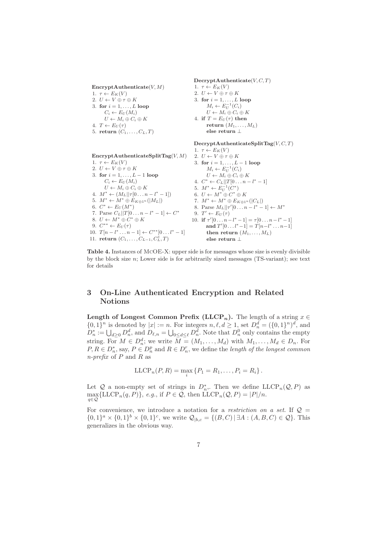$\text{EncryptAuthentication}(V, M)$ 

1.  $\tau \leftarrow E_K(V)$ 

2.  $U \leftarrow V \oplus \tau \oplus K$ 

3. for  $i = 1, \ldots, L$  loop  $C_i \leftarrow E_U(M_i)$  $U \leftarrow M_i \oplus C_i \oplus K$ 

- 4.  $T \leftarrow E_U(\tau)$
- 5. return  $(C_1, \ldots, C_L, T)$

 $\text{DecryptAuthentication}(V, C, T)$ 1.  $\tau \leftarrow E_K(V)$ 2.  $U \leftarrow V \oplus \tau \oplus K$ 3. for  $i = 1, \ldots, L$  loop  $M_i \leftarrow E_U^{-1}(C_i)$  $U \leftarrow M_i \oplus C_i \oplus K$ 4. if  $T = E_U(\tau)$  then return  $(M_1, \ldots, M_L)$ else return ⊥

 $\text{DecryptAuthenticationeSplitTag}(V, C, T)$ 

 $\text{EncryptAuthenticationeSplitTag}(V, M)$ 1.  $\tau \leftarrow E_K(V)$ 2.  $U \leftarrow V \oplus \tau \oplus K$ 3. for  $i = 1, ..., L - 1$  loop  $C_i \leftarrow E_U(M_i)$  $U \leftarrow M_i \oplus C_i \oplus K$ 4.  $M^* \leftarrow (M_L || \tau [0 \dots n - l^* - 1])$ 5.  $M^* \leftarrow M^* \oplus E_{K \oplus 1^n}(|M_L|)$ 6.  $C^* \leftarrow E_U(M^*)$ 7. Parse  $C_L || T [0 \dots n - l^* - 1] \leftarrow C^*$ 8.  $U \leftarrow M^* \oplus C^* \oplus K$ 9.  $C^{**} \leftarrow E_U(\tau)$ 10.  $T[n - l^* \dots n - 1] \leftarrow C^{**}[0 \dots l^* - 1]$ 11. return  $(C_1, \ldots, C_{L-1}, C_L^*, T)$ 1.  $\tau \leftarrow E_K(V)$ 2.  $U \leftarrow V \oplus \tau \oplus K$ 3. for  $i = 1, ..., L - 1$  loop  $M_i \leftarrow E_U^{-1}(C_i)$  $U \leftarrow M_i \oplus C_i \oplus K$ 4.  $C^* \leftarrow C_L || T[0 \dots n - l^* - 1]$ 5.  $M^* \leftarrow E_U^{-1}(C^*)$ 6.  $U \leftarrow M^* \oplus C^* \oplus K$ 7.  $M^* \leftarrow M^* \oplus E_{K \oplus 1^n}(|C_L|)$ 8. Parse  $M_L || \tau' [0 \dots n - l^* - 1] \leftarrow M^*$ 9.  $T' \leftarrow E_U(\tau)$ 10. if  $\tau'[0 \dots n - l^* - 1] = \tau[0 \dots n - l^* - 1]$ and  $T'[0...l^*-1] = T[n-l^*...n-1]$ then return  $(M_1, \ldots, M_L)$ else return ⊥

Table 4. Instances of McOE-X: upper side is for messages whose size is evenly divisible by the block size  $n$ ; Lower side is for arbitrarily sized messages (TS-variant); see text for details

## 3 On-Line Authenticated Encryption and Related Notions

**Length of Longest Common Prefix (LLCP<sub>n</sub>).** The length of a string  $x \in$  $\{0,1\}^n$  is denoted by  $|x| := n$ . For integers  $n, \ell, d \ge 1$ , set  $D_n^d = (\{0,1\}^n)^d$ , and  $D_n^* := \bigcup_{d \geq 0} D_n^d$ , and  $D_{\ell,n} = \bigcup_{0 \leq d \leq \ell} D_n^d$ . Note that  $D_n^0$  only contains the empty string. For  $M \in D_n^d$ ; we write  $M = (M_1, \ldots, M_d)$  with  $M_1, \ldots, M_d \in D_n$ . For  $P, R \in D_n^*$ , say,  $P \in D_n^p$  and  $R \in D_n^r$ , we define the length of the longest common  $n\text{-}prefix \space of \space P \space and \space R \space as$ 

$$
\mathrm{LLCP}_n(P, R) = \max_i \{P_1 = R_1, \ldots, P_i = R_i\}.
$$

Let Q a non-empty set of strings in  $D_n^*$ . Then we define LLCP<sub>n</sub>(Q, P) as Let  $\mathcal{Q}$  a non-empty set of strings in  $D_n$ ,. Then we define E.<br>
max {LLCP<sub>n</sub>(q, P)}, e.g., if  $P \in \mathcal{Q}$ , then LLCP<sub>n</sub>( $\mathcal{Q}, P$ ) = |P|/n.

For convenience, we introduce a notation for a restriction on a set. If  $\mathcal{Q} =$  $\{0,1\}^a \times \{0,1\}^b \times \{0,1\}^c$ , we write  $\mathcal{Q}_{|b,c} = \{(B,C) | \exists A : (A,B,C) \in \mathcal{Q}\}$ . This generalizes in the obvious way.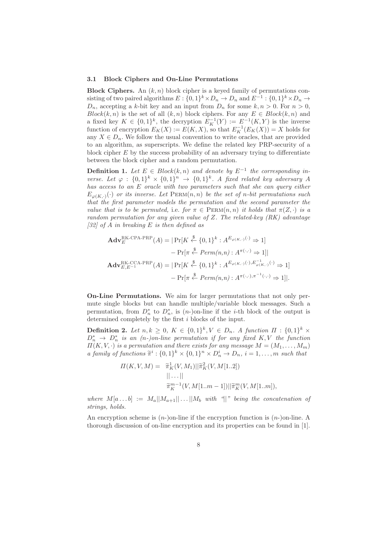#### 3.1 Block Ciphers and On-Line Permutations

**Block Ciphers.** An  $(k, n)$  block cipher is a keyed family of permutations consisting of two paired algorithms  $E: \{0,1\}^k \times D_n \to D_n$  and  $E^{-1}: \{0,1\}^k \times D_n \to D_n$  $D_n$ , accepting a k-bit key and an input from  $D_n$  for some  $k, n > 0$ . For  $n > 0$ ,  $Block(k, n)$  is the set of all  $(k, n)$  block ciphers. For any  $E \in Block(k, n)$  and a fixed key  $K \in \{0,1\}^k$ , the decryption  $E_K^{-1}(Y) := E^{-1}(K,Y)$  is the inverse function of encryption  $E_K(X) := E(K, X)$ , so that  $E_K^{-1}(E_K(X)) = X$  holds for any  $X \in D_n$ . We follow the usual convention to write oracles, that are provided to an algorithm, as superscripts. We define the related key PRP-security of a block cipher  $E$  by the success probability of an adversary trying to differentiate between the block cipher and a random permutation.

**Definition 1.** Let  $E \in Block(k, n)$  and denote by  $E^{-1}$  the corresponding inverse. Let  $\varphi : \{0,1\}^k \times \{0,1\}^n \rightarrow \{0,1\}^k$ . A fixed related key adversary A has access to an E oracle with two parameters such that she can query either  $E_{\varphi(K,\cdot)}(\cdot)$  or its inverse. Let  $\text{PERM}(n,n)$  be the set of n-bit permutations such that the first parameter models the permutation and the second parameter the value that is to be permuted, i.e. for  $\pi \in \text{PERM}(n, n)$  it holds that  $\pi(Z, \cdot)$  is a random permutation for any given value of Z. The related-key (RK) advantage  $[32]$  of A in breaking E is then defined as

$$
\mathbf{Adv}_{E}^{\text{RK-CPA-PRP}}(A) = |\Pr[K \stackrel{\$}{\leftarrow} \{0,1\}^{k} : A^{E_{\varphi(K,\cdot)}(\cdot)} \Rightarrow 1]
$$

$$
- \Pr[\pi \stackrel{\$}{\leftarrow} Perm(n,n) : A^{\pi(\cdot,\cdot)} \Rightarrow 1]|
$$

$$
\mathbf{Adv}_{E,E^{-1}}^{\text{RK-CCA-PRP}}(A) = |\Pr[K \stackrel{\$}{\leftarrow} \{0,1\}^{k} : A^{E_{\varphi(K,\cdot)}(\cdot), E_{\varphi(K,\cdot)}^{-1}(\cdot)} \Rightarrow 1]
$$

$$
- \Pr[\pi \stackrel{\$}{\leftarrow} Perm(n,n) : A^{\pi(\cdot,\cdot),\pi^{-1}(\cdot,\cdot)} \Rightarrow 1]|.
$$

On-Line Permutations. We aim for larger permutations that not only permute single blocks but can handle multiple/variable block messages. Such a permutation, from  $D_n^*$  to  $D_n^*$ , is  $(n-)$ on-line if the *i*-th block of the output is determined completely by the first i blocks of the input.

**Definition 2.** Let  $n, k \geq 0$ ,  $K \in \{0,1\}^k$ ,  $V \in D_n$ . A function  $\Pi : \{0,1\}^k \times$  $D_n^*$   $\rightarrow$   $D_n^*$  is an  $(n-)$ on-line permutation if for any fixed K, V the function  $\Pi(K, V, \cdot)$  is a permutation and there exists for any message  $M = (M_1, \ldots, M_m)$ a family of functions  $\tilde{\pi}^i: \{0,1\}^k \times \{0,1\}^n \times D_n^i \to D_n$ ,  $i = 1, \ldots, m$  such that

$$
\Pi(K, V, M) = \tilde{\pi}_K^1(V, M_1) ||\tilde{\pi}_K^2(V, M[1..2])
$$
  
 
$$
||...||
$$
  
 
$$
\tilde{\pi}_K^{m-1}(V, M[1..m-1]) ||\tilde{\pi}_K^m(V, M[1..m]),
$$

where  $M[a \dots b] := M_a||M_{a+1}|| \dots ||M_b$  with "||" being the concatenation of strings, holds.

An encryption scheme is  $(n-)$ on-line if the encryption function is  $(n-)$ on-line. A thorough discussion of on-line encryption and its properties can be found in [1].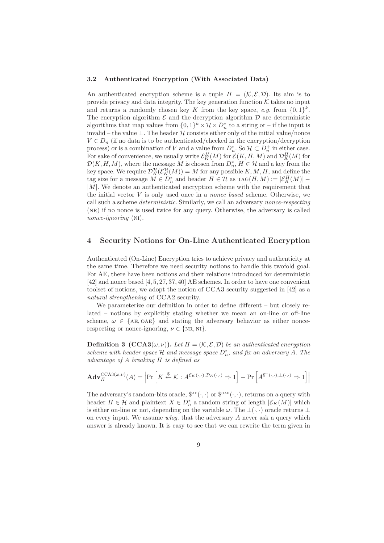#### 3.2 Authenticated Encryption (With Associated Data)

An authenticated encryption scheme is a tuple  $\Pi = (\mathcal{K}, \mathcal{E}, \mathcal{D})$ . Its aim is to provide privacy and data integrity. The key generation function  $K$  takes no input and returns a randomly chosen key K from the key space, e.g. from  $\{0,1\}^k$ . The encryption algorithm  $\mathcal E$  and the decryption algorithm  $\mathcal D$  are deterministic algorithms that map values from  $\{0,1\}^k \times \mathcal{H} \times D_n^*$  to a string or – if the input is invalid – the value  $\perp$ . The header  $\mathcal H$  consists either only of the initial value/nonce  $V \in D_n$  (if no data is to be authenticated/checked in the encryption/decryption process) or is a combination of V and a value from  $D_n^*$ . So  $\mathcal{H} \subset D_n^+$  in either case. For sake of convenience, we usually write  $\mathcal{E}_K^H(M)$  for  $\mathcal{E}(K, H, M)$  and  $\mathcal{D}_K^H(M)$  for  $\mathcal{D}(K, H, M)$ , where the message M is chosen from  $D_n^*$ ,  $H \in \mathcal{H}$  and a key from the key space. We require  $\mathcal{D}^{\mathcal{H}}_K(\mathcal{E}^{\mathcal{H}}_K(M))=M$  for any possible  $K, M, H$ , and define the tag size for a message  $M \in D_n^*$  and header  $H \in \mathcal{H}$  as  $\text{TAG}(H, M) := |\mathcal{E}_K^H(M)|$  –  $|M|$ . We denote an authenticated encryption scheme with the requirement that the initial vector  $V$  is only used once in a *nonce based* scheme. Otherwise, we call such a scheme deterministic. Similarly, we call an adversary nonce-respecting (nr) if no nonce is used twice for any query. Otherwise, the adversary is called nonce-ignoring (NI).

#### 4 Security Notions for On-Line Authenticated Encryption

Authenticated (On-Line) Encryption tries to achieve privacy and authenticity at the same time. Therefore we need security notions to handle this twofold goal. For AE, there have been notions and their relations introduced for deterministic [42] and nonce based [4, 5, 27, 37, 40] AE schemes. In order to have one convenient toolset of notions, we adopt the notion of CCA3 security suggested in [42] as a natural strengthening of CCA2 security.

We parameterize our definition in order to define different – but closely related – notions by explicitly stating whether we mean an on-line or off-line scheme,  $\omega \in \{AE, OAE\}$  and stating the adversary behavior as either noncerespecting or nonce-ignoring,  $\nu \in \{NR, NI\}.$ 

**Definition 3** (CCA3( $\omega$ ,  $\nu$ )). Let  $\Pi = (\mathcal{K}, \mathcal{E}, \mathcal{D})$  be an authenticated encryption scheme with header space  $\mathcal H$  and message space  $D_n^*$ , and fix an adversary A. The advantage of A breaking  $\Pi$  is defined as

$$
\mathbf{Adv}_{\Pi}^{\mathrm{CCA3}(\omega,\nu)}(A) = \left| \Pr \left[ K \stackrel{\$}{\leftarrow} \mathcal{K} : A^{\mathcal{E}_{K}(\cdot,\cdot), \mathcal{D}_{K}(\cdot,\cdot)} \Rightarrow 1 \right] - \Pr \left[ A^{\$^{\omega}(\cdot,\cdot), \perp(\cdot,\cdot)} \Rightarrow 1 \right] \right|
$$

The adversary's random-bits oracle,  $\mathcal{S}^{AE}(\cdot, \cdot)$  or  $\mathcal{S}^{OAE}(\cdot, \cdot)$ , returns on a query with header  $H \in \mathcal{H}$  and plaintext  $X \in D_n^*$  a random string of length  $|\mathcal{E}_K(M)|$  which is either on-line or not, depending on the variable  $\omega$ . The  $\bot(\cdot, \cdot)$  oracle returns  $\bot$ on every input. We assume  $wlog$ , that the adversary A never ask a query which answer is already known. It is easy to see that we can rewrite the term given in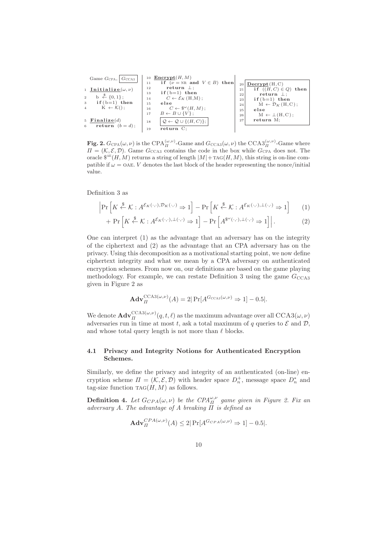\n
$$
\begin{array}{c|c|c|c|c|c|c} \text{Game } G_{\text{CPA}}, \overline{G_{\text{CCA3}}}| & \text{10} & \text{Encrypt}(H, M) & \text{11} & \text{if } (\nu = \text{NR} \text{ and } V \in B) \text{ then} \\ \n1 & \text{Initialize}(\omega, \nu) & \text{return } \bot; & \text{if } (\text{H}, C) \in Q) \text{ then} \\ \n2 & \text{b} & \stackrel{\text{R}}{\leftarrow} \{0,1\}; & \text{if } (\text{b}=1) \text{ then} & \text{if } (\text{b}=1) \text{ then} & \text{if } (\text{H}, C) \in Q) \text{ then} \\ \n3 & \text{if } (\text{b}=1) \text{ then} & \text{if } (\text{b}=1) \text{ then} & \text{return } \bot; \\ \n4 & \text{K} \leftarrow K(); & \text{else} & \text{if } (\text{b}=1) \text{ then} & \text{if } (\text{b}=1) \text{ then} \\ \n5 & \text{Finalize}(d) & \text{is} & \overline{Q \leftarrow Q \cup \{ (H, C) \}}; & \text{else} & \text{M} \leftarrow L(H, C); \\ \n6 & \text{return } (\text{b} = d); & \overline{Q \leftarrow Q \cup \{ (H, C) \}}; & \text{return } \text{M}; \\ \n\end{array}
$$
\n

Fig. 2.  $G_{\text{CPA}}(\omega,\nu)$  is the  $\text{CPA}_{\Pi}^{(\omega,\nu)}$ -Game and  $G_{\text{CCA3}}(\omega,\nu)$  the  $\text{CCA3}_{\Pi}^{(\omega,\nu)}$ -Game where  $\Pi = (\mathcal{K}, \mathcal{E}, \mathcal{D})$ . Game  $G_{\text{CCA3}}$  contains the code in the box while  $G_{\text{CPA}}$  does not. The oracle  $\mathbb{S}^{AE}(H, M)$  returns a string of length  $|M|+\text{TAG}(H, M)$ , this string is on-line compatible if  $\omega = 0$ AE. V denotes the last block of the header representing the nonce/initial value.

Definition 3 as

$$
\left| \Pr \left[ K \stackrel{\$}{\leftarrow} \mathcal{K} : A^{\mathcal{E}_K(\cdot, \cdot), \mathcal{D}_K(\cdot, \cdot)} \Rightarrow 1 \right] - \Pr \left[ K \stackrel{\$}{\leftarrow} \mathcal{K} : A^{\mathcal{E}_K(\cdot, \cdot), \perp(\cdot, \cdot)} \Rightarrow 1 \right] \tag{1}
$$

+ 
$$
\Pr\left[K \stackrel{\$}{\leftarrow} \mathcal{K} : A^{\mathcal{E}_K(\cdot, \cdot), \perp(\cdot, \cdot)} \Rightarrow 1\right] - \Pr\left[A^{\$^{\omega}(\cdot, \cdot), \perp(\cdot, \cdot)} \Rightarrow 1\right]\right].
$$
 (2)

One can interpret (1) as the advantage that an adversary has on the integrity of the ciphertext and (2) as the advantage that an CPA adversary has on the privacy. Using this decomposition as a motivational starting point, we now define ciphertext integrity and what we mean by a CPA adversary on authenticated encryption schemes. From now on, our definitions are based on the game playing methodology. For example, we can restate Definition 3 using the game  $G_{\rm CCA3}$ given in Figure 2 as

$$
\mathbf{Adv}_{\Pi}^{\mathrm{CCA3}(\omega,\nu)}(A) = 2|\Pr[A^{G_{\mathrm{CCA3}}(\omega,\nu)} \Rightarrow 1] - 0.5|.
$$

We denote  $\mathbf{Adv}_{II}^{\mathrm{CCA3}(\omega, \nu)}(q, t, \ell)$  as the maximum advantage over all  $\mathrm{CCA3}(\omega, \nu)$ adversaries run in time at most t, ask a total maximum of q queries to  $\mathcal E$  and  $\mathcal D$ , and whose total query length is not more than  $\ell$  blocks.

#### 4.1 Privacy and Integrity Notions for Authenticated Encryption Schemes.

Similarly, we define the privacy and integrity of an authenticated (on-line) encryption scheme  $\Pi = (\mathcal{K}, \mathcal{E}, \mathcal{D})$  with header space  $D_n^+$ , message space  $D_n^*$  and tag-size function  $TAG(H, M)$  as follows.

**Definition 4.** Let  $G_{CPA}(\omega, \nu)$  be the  $CPA_{\Pi}^{\omega, \nu}$  game given in Figure 2. Fix an adversary A. The advantage of A breaking  $\Pi$  is defined as

$$
\mathbf{Adv}_{\Pi}^{CPA(\omega,\nu)}(A) \le 2|\Pr[A^{G_{CPA}(\omega,\nu)} \Rightarrow 1] - 0.5|.
$$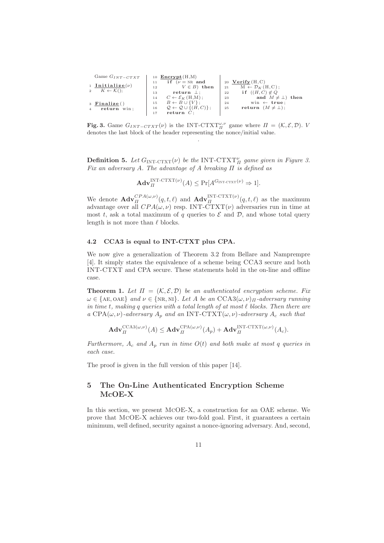| Game $G_{INT-CTXT}$              | 10 $\text{Energy}(H,M)$                                     |                                           |
|----------------------------------|-------------------------------------------------------------|-------------------------------------------|
|                                  | if $(\nu) = NR$ and                                         | 20 Verify $(H, C)$                        |
| 1 Initialize( $\nu$ )            | $V \in B$ then<br>12                                        | $M \leftarrow \mathcal{D}_K(H, C);$<br>21 |
| 2 $K \leftarrow \mathcal{K}$ (); | return $\perp$ :<br>13                                      | if $((H, C) \notin Q)$<br>22              |
|                                  | $C \leftarrow \mathcal{E}_K(H,M);$<br>14                    | and $M \neq \perp$ then<br>23             |
| 3 Finalize()                     | $B \leftarrow B \cup \{V\}$ ;<br>15                         | $win \leftarrow true$ :<br>24             |
| return win:<br>$\overline{4}$    | $\mathcal{Q} \leftarrow \mathcal{Q} \cup \{(H, C)\};$<br>16 | return $(M \neq \bot)$ ;<br>25            |
|                                  | return $C$ :<br>17                                          |                                           |

**Fig. 3.** Game  $G_{INT-CTXT}(\nu)$  is the INT-CTXT<sup> $\omega,\nu$ </sup> game where  $\Pi = (\mathcal{K}, \mathcal{E}, \mathcal{D})$ . V denotes the last block of the header representing the nonce/initial value. .

**Definition 5.** Let  $G_{\text{INT-CTXT}}(\nu)$  be the INT-CTXT<sub>II</sub> game given in Figure 3. Fix an adversary A. The advantage of A breaking  $\Pi$  is defined as

$$
\mathbf{Adv}_{\Pi}^{\mathbf{INT-CTXT}}(\nu)(A) \leq \Pr[A^{G_{\mathbf{INT-CTXT}}(\nu)} \Rightarrow 1].
$$

We denote  $\mathbf{Adv}_{\Pi}^{CPA(\omega,\nu)}(q,t,\ell)$  and  $\mathbf{Adv}_{\Pi}^{\text{INT-CTXT}(\nu)}(q,t,\ell)$  as the maximum advantage over all  $CPA(\omega, \nu)$  resp. INT-CTXT( $\nu$ ) adversaries run in time at most t, ask a total maximum of q queries to  $\mathcal E$  and  $\mathcal D$ , and whose total query length is not more than  $\ell$  blocks.

#### 4.2 CCA3 is equal to INT-CTXT plus CPA.

We now give a generalization of Theorem 3.2 from Bellare and Namprempre [4]. It simply states the equivalence of a scheme being CCA3 secure and both INT-CTXT and CPA secure. These statements hold in the on-line and offline case.

**Theorem 1.** Let  $\Pi = (K, \mathcal{E}, \mathcal{D})$  be an authenticated encryption scheme. Fix  $\omega \in \{\text{AE, OAE}\}\$ and  $\nu \in \{\text{NR, NI}\}\$ . Let A be an  $\text{CCA3}(\omega, \nu)_{\Pi}$ -adversary running in time t, making q queries with a total length of at most  $\ell$  blocks. Then there are a CPA( $\omega, \nu$ )-adversary  $A_n$  and an INT-CTXT( $\omega, \nu$ )-adversary  $A_c$  such that

$$
\mathbf{Adv}_{\Pi}^{\mathrm{CCA3}(\omega,\nu)}(A) \leq \mathbf{Adv}_{\Pi}^{\mathrm{CPA}(\omega,\nu)}(A_p) + \mathbf{Adv}_{\Pi}^{\mathrm{INT-CTXT}(\omega,\nu)}(A_c).
$$

Furthermore,  $A_c$  and  $A_p$  run in time  $O(t)$  and both make at most q queries in each case.

The proof is given in the full version of this paper [14].

## 5 The On-Line Authenticated Encryption Scheme McOE-X

In this section, we present McOE-X, a construction for an OAE scheme. We prove that McOE-X achieves our two-fold goal. First, it guarantees a certain minimum, well defined, security against a nonce-ignoring adversary. And, second,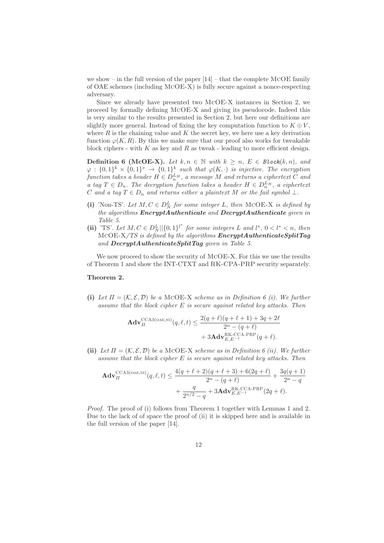we show – in the full version of the paper  $[14]$  – that the complete MCOE family of OAE schemes (including McOE-X) is fully secure against a nonce-respecting adversary.

Since we already have presented two McOE-X instances in Section 2, we proceed by formally defining McOE-X and giving its pseudocode. Indeed this is very similar to the results presented in Section 2, but here our definitions are slightly more general. Instead of fixing the key computation function to  $K \oplus V$ , where  $R$  is the chaining value and  $K$  the secret key, we here use a key derivation function  $\varphi(K, R)$ . By this we make sure that our proof also works for tweakable block ciphers - with  $K$  as key and  $R$  as tweak - leading to more efficient design.

**Definition 6 (McOE-X).** Let  $k, n \in \mathbb{N}$  with  $k \geq n$ ,  $E \in Block(k, n)$ , and  $\varphi: \{0,1\}^k \times \{0,1\}^v \rightarrow \{0,1\}^k$  such that  $\varphi(K, \cdot)$  is injective. The encryption function takes a header  $H \in D_n^{L_H}$ , a message  $M$  and returns a ciphertext  $C$  and a tag  $T \in D_n$ . The decryption function takes a header  $H \in D_n^L$ , a ciphertext C and a tag  $T \in D_n$  and returns either a plaintext M or the fail symbol  $\bot$ .

- (i) 'Non-TS'. Let  $M, C \in D_N^L$  for some integer L, then MCOE-X is defined by the algorithms  $\textbf{Encrypt}(A)$  determined and  $\textbf{Decrypt}(A)$  thenticate given in Table 5.
- (ii) 'TS'. Let  $M, C \in D_N^L \vert \vert \{0,1\}^{l^*}$  for some integers L and  $l^*, 0 < l^* < n$ , then  $MCOE-X/TS$  is defined by the algorithms  $\pmb{EncryptAuthenticationeSplitTag}$ and DecryptAuthenticateSplitTag given in Table 5.

We now proceed to show the security of MCOE-X. For this we use the results of Theorem 1 and show the INT-CTXT and RK-CPA-PRP security separately.

#### Theorem 2.

(i) Let  $\Pi = (\mathcal{K}, \mathcal{E}, \mathcal{D})$  be a MCOE-X scheme as in Definition 6 (i). We further assume that the block cipher E is secure against related key attacks. Then

$$
\mathbf{Adv}_{\Pi}^{\text{CCA3(OAE,NI)}}(q,\ell,t) \le \frac{2(q+\ell)(q+\ell+1) + 3q + 2\ell}{2^n - (q+\ell)} + 3\mathbf{Adv}_{E,E}^{\text{RK-CA-PRP}}(q+\ell).
$$

(ii) Let  $\Pi = (\mathcal{K}, \mathcal{E}, \mathcal{D})$  be a MCOE-X scheme as in Definition 6 (ii). We further assume that the block cipher  $E$  is secure against related key attacks. Then

$$
\mathbf{Adv}_{\Pi}^{\text{CCA3(OAE,NI)}}(q,\ell,t) \le \frac{4(q+\ell+2)(q+\ell+3) + 6(2q+\ell)}{2^n - (q+\ell)} + \frac{3q(q+1)}{2^n - q} + \frac{q}{2n^2 - q} + 3\mathbf{Adv}_{E,E}^{\text{RK-CCA-PRP}}(2q+\ell).
$$

Proof. The proof of (i) follows from Theorem 1 together with Lemmas 1 and 2. Due to the lack of of space the proof of (ii) it is skipped here and is available in the full version of the paper [14].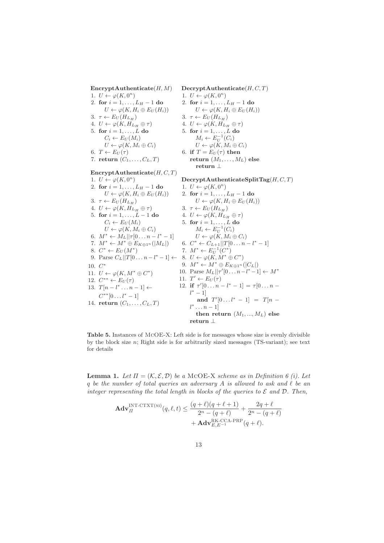$\text{EncryptAuthentication}(H, M)$ 1.  $U \leftarrow \varphi(K, 0^n)$ 2. for  $i = 1, ..., L_H - 1$  do  $U \leftarrow \varphi(K, H_i \oplus E_U(H_i))$ 3.  $\tau \leftarrow E_U(H_{L_H})$ 4.  $U \leftarrow \varphi(K, H_{L_H} \oplus \tau)$ 5. for  $i = 1, \ldots, L$  do  $C_i \leftarrow E_U(M_i)$  $U \leftarrow \varphi(K, M_i \oplus C_i)$ 6.  $T \leftarrow E_U(\tau)$ 7. return  $(C_1, \ldots, C_L, T)$ EncryptAuthenticate $(H, C, T)$ 1.  $U \leftarrow \varphi(K, 0^n)$ 2. for  $i = 1, ..., L_H - 1$  do  $U \leftarrow \varphi(K, H_i \oplus E_U(H_i))$ 3.  $\tau \leftarrow E_U(H_{L_H})$ 4.  $U \leftarrow \varphi(K, H_{L_H} \oplus \tau)$ 5. for  $i = 1, ..., L - 1$  do  $C_i \leftarrow E_U(M_i)$  $U \leftarrow \varphi(K, M_i \oplus C_i)$ 6.  $M^* \leftarrow M_L || \tau [0 \dots n - l^* - 1]$ 7.  $M^* \leftarrow M^* \oplus E_{K \oplus 1^n}(|M_L|)$ 8.  $C^* \leftarrow E_U(M^*)$ 9. Parse  $C_L||T[0...n-l^*-1] \leftarrow 8$ .  $U \leftarrow \varphi(K, M^* \oplus C^*)$ 10. C ∗ 11.  $U \leftarrow \varphi(K, M^* \oplus C^*)$ 12.  $C^{**} \leftarrow E_U(\tau)$ 13.  $T[n-l^* \dots n-1] \leftarrow$  $C^{**}[0 \dots l^*-1]$ 14. return  $(C_1, ..., C_L, T)$  $\text{DecryptAuthentication}(H, C, T)$ 1.  $U \leftarrow \varphi(K, 0^n)$ 2. for  $i = 1, ..., L_H - 1$  do  $U \leftarrow \varphi(K, H_i \oplus E_U(H_i))$ 3.  $\tau \leftarrow E_U(H_{L_H})$ 4.  $U \leftarrow \varphi(K, H_{L_H} \oplus \tau)$ 5. for  $i = 1, \ldots, L$  do  $M_i \leftarrow E_U^{-1}(C_i)$  $U \leftarrow \varphi(K, M_i \oplus C_i)$ 6. if  $T = E_U(\tau)$  then return  $(M_1, \ldots, M_L)$  else return ⊥  $\text{DecryptAuthentication}$ Eq(H, C, T) 1.  $U \leftarrow \varphi(K, 0^n)$ 2. for  $i = 1, ..., L_H - 1$  do  $U \leftarrow \varphi(K, H_i \oplus E_U(H_i))$ 3.  $\tau \leftarrow E_U(H_{L_H})$ 4.  $U \leftarrow \varphi(K, H_{L_H} \oplus \tau)$ 5. for  $i = 1, \ldots, L$  do  $M_i \leftarrow E_U^{-1}(C_i)$  $U \leftarrow \varphi(K, M_i \oplus C_i)$ 6.  $C^* \leftarrow C_{L+1} || T[0 \dots n - l^* - 1]$ 7.  $M^* \leftarrow E_U^{-1}(C^*)$ 9.  $M^* \leftarrow M^* \oplus E_{K \oplus 1^n}(|C_L|)$ 10. Parse  $M_L || \tau' [0 \dots n - l^* - 1] \leftarrow M^*$ 11.  $T' \leftarrow E_U(\tau)$ 12. if  $\tau'[0 \dots n - l^* - 1] = \tau[0 \dots n$  $l^* - 1]$ and  $T'[0...l^* - 1] = T[n$  $l^* \dots n-1]$ then return  $(M_1, ..., M_L)$  else return ⊥

Table 5. Instances of McOE-X: Left side is for messages whose size is evenly divisible by the block size  $n$ ; Right side is for arbitrarily sized messages (TS-variant); see text for details

**Lemma 1.** Let  $\Pi = (\mathcal{K}, \mathcal{E}, \mathcal{D})$  be a MCOE-X scheme as in Definition 6 (i). Let q be the number of total queries an adversary A is allowed to ask and  $\ell$  be an integer representing the total length in blocks of the queries to  $\mathcal E$  and  $\mathcal D$ . Then,

$$
\mathbf{Adv}_{\Pi}^{\text{INT-CTXT(NI)}}(q,\ell,t) \leq \frac{(q+\ell)(q+\ell+1)}{2^n - (q+\ell)} + \frac{2q+\ell}{2^n - (q+\ell)} + \mathbf{Adv}_{E,E-1}^{\text{RK-CCA-PRP}}(q+\ell).
$$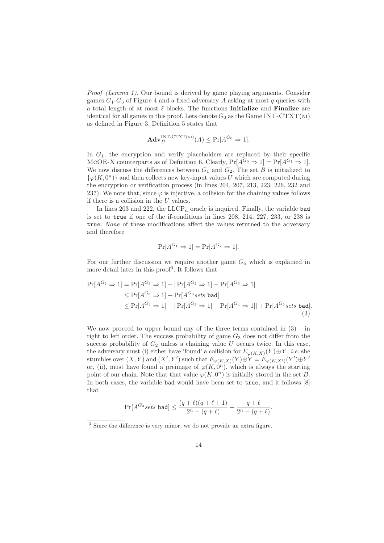Proof (Lemma 1). Our bound is derived by game playing arguments. Consider games  $G_1$ - $G_3$  of Figure 4 and a fixed adversary A asking at most q queries with a total length of at most  $\ell$  blocks. The functions **Initialize** and **Finalize** are identical for all games in this proof. Lets denote  $G_0$  as the Game INT-CTXT(NI) as defined in Figure 3. Definition 5 states that

$$
\mathbf{Adv}_{\Pi}^{\text{INT-CTXT(M)}}(A) \leq \Pr[A^{G_0} \Rightarrow 1].
$$

In  $G_1$ , the encryption and verify placeholders are replaced by their specific MCOE-X counterparts as of Definition 6. Clearly,  $Pr[A^{G_0} \Rightarrow 1] = Pr[A^{G_1} \Rightarrow 1]$ . We now discuss the differences between  $G_1$  and  $G_2$ . The set B is initialized to  $\{\varphi(K, 0^n)\}\$ and then collects new key-input values U which are computed during the encryption or verification process (in lines 204, 207, 213, 223, 226, 232 and 237). We note that, since  $\varphi$  is injective, a collision for the chaining values follows if there is a collision in the  $U$  values.

In lines 203 and 222, the  $LLCP_n$  oracle is inquired. Finally, the variable bad is set to true if one of the if-conditions in lines 208, 214, 227, 233, or 238 is true. None of these modifications affect the values returned to the adversary and therefore

$$
\Pr[A^{G_1} \Rightarrow 1] = \Pr[A^{G_2} \Rightarrow 1].
$$

For our further discussion we require another game  $G_4$  which is explained in more detail later in this proof<sup>3</sup>. It follows that

$$
\Pr[A^{G_2} \Rightarrow 1] = \Pr[A^{G_3} \Rightarrow 1] + |\Pr[A^{G_2} \Rightarrow 1] - \Pr[A^{G_3} \Rightarrow 1]
$$
  
\n
$$
\leq \Pr[A^{G_3} \Rightarrow 1] + \Pr[A^{G_3} \text{ sets bad}]
$$
  
\n
$$
\leq \Pr[A^{G_4} \Rightarrow 1] + |\Pr[A^{G_3} \Rightarrow 1] - \Pr[A^{G_4} \Rightarrow 1]| + \Pr[A^{G_3} \text{ sets bad}].
$$
\n(3)

We now proceed to upper bound any of the three terms contained in  $(3)$  – in right to left order. The success probability of game  $G_3$  does not differ from the success probability of  $G_2$  unless a chaining value  $U$  occurs twice. In this case, the adversary must (i) either have 'found' a collision for  $E_{\varphi(K,X)}(Y) \oplus Y$ , *i.e.* she stumbles over  $(X, Y)$  and  $(X', Y')$  such that  $E_{\varphi(K,X)}(Y) \oplus Y = E_{\varphi(K,X')}(Y') \oplus Y'$ or, (ii), must have found a preimage of  $\varphi(K, 0^n)$ , which is always the starting point of our chain. Note that that value  $\varphi(K, 0^n)$  is initially stored in the set B. In both cases, the variable bad would have been set to true, and it follows [8] that

$$
\Pr[A^{G_3} sets \text{ bad}] \le \frac{(q+\ell)(q+\ell+1)}{2^n - (q+\ell)} + \frac{q+\ell}{2^n - (q+\ell)}.
$$

<sup>&</sup>lt;sup>3</sup> Since the difference is very minor, we do not provide an extra figure.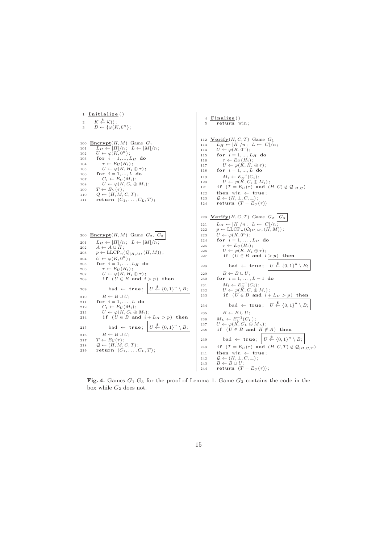

Fig. 4. Games  $G_1$ - $G_3$  for the proof of Lemma 1. Game  $G_3$  contains the code in the box while  $G_2$  does not.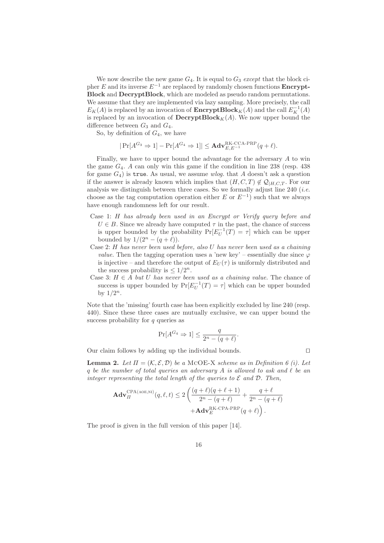We now describe the new game  $G_4$ . It is equal to  $G_3$  except that the block cipher E and its inverse  $E^{-1}$  are replaced by randomly chosen functions **Encrypt**-Block and DecryptBlock, which are modeled as pseudo random permutations. We assume that they are implemented via lazy sampling. More precisely, the call  $E_K(A)$  is replaced by an invocation of **EncryptBlock** $_K(A)$  and the call  $E_K^{-1}(A)$ is replaced by an invocation of  $\mathbf{DecryptBlock}_K(A)$ . We now upper bound the difference between  $G_3$  and  $G_4$ .

So, by definition of  $G_4$ , we have

$$
|\Pr[A^{G_3} \Rightarrow 1] - \Pr[A^{G_4} \Rightarrow 1]| \le \mathbf{Adv}_{E,E^{-1}}^{\mathsf{RK}\text{-}\mathsf{CCA}\text{-}\mathsf{PRP}}(q+\ell).
$$

Finally, we have to upper bound the advantage for the adversary A to win the game  $G_4$ . A can only win this game if the condition in line 238 (resp. 438) for game  $G_4$ ) is true. As usual, we assume wlog. that A doesn't ask a question if the answer is already known which implies that  $(H, C, T) \notin \mathcal{Q}_{H, C, T}$ . For our analysis we distinguish between three cases. So we formally adjust line 240 (*i.e.* choose as the tag computation operation either  $E$  or  $E^{-1}$ ) such that we always have enough randomness left for our result.

- Case 1: H has already been used in an Encrypt or Verify query before and  $U \in B$ . Since we already have computed  $\tau$  in the past, the chance of success is upper bounded by the probability  $Pr[E_U^{-1}(T) = \tau]$  which can be upper bounded by  $1/(2^n - (q + \ell))$ .
- Case 2: H has never been used before, also U has never been used as a chaining *value.* Then the tagging operation uses a 'new key' – essentially due since  $\varphi$ is injective – and therefore the output of  $E_U(\tau)$  is uniformly distributed and the success probability is  $\leq 1/2^n$ .
- Case 3:  $H \in A$  but U has never been used as a chaining value. The chance of success is upper bounded by  $Pr[E_U^{-1}(T) = \tau]$  which can be upper bounded by  $1/2^n$ .

Note that the 'missing' fourth case has been explicitly excluded by line 240 (resp. 440). Since these three cases are mutually exclusive, we can upper bound the success probability for  $q$  queries as

$$
\Pr[A^{G_4} \Rightarrow 1] \le \frac{q}{2^n - (q + \ell)}.
$$

Our claim follows by adding up the individual bounds. ⊓⊔

**Lemma 2.** Let  $\Pi = (\mathcal{K}, \mathcal{E}, \mathcal{D})$  be a MCOE-X scheme as in Definition 6 (i). Let q be the number of total queries an adversary A is allowed to ask and  $\ell$  be an integer representing the total length of the queries to  $\mathcal E$  and  $\mathcal D$ . Then,

$$
\begin{aligned} \mathbf{Adv}_{\varPi}^{\mathsf{CPA}(\mathsf{AOE},\mathsf{NI})}(q,\ell,t) &\leq 2\left(\frac{(q+\ell)(q+\ell+1)}{2^{n}-(q+\ell)}+\frac{q+\ell}{2^{n}-(q+\ell)}\right.\\ &\left.+\mathbf{Adv}_{E}^{\mathsf{RK-CPA-PRP}}(q+\ell)\right).\end{aligned}
$$

The proof is given in the full version of this paper [14].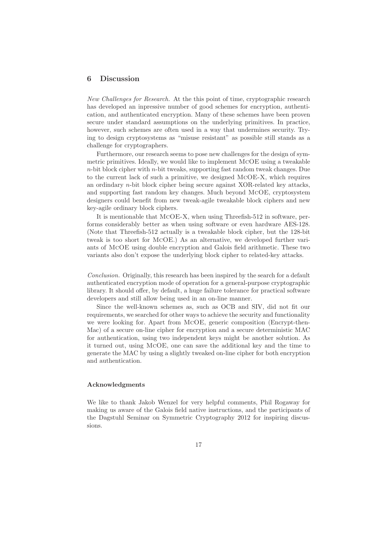### 6 Discussion

New Challenges for Research. At the this point of time, cryptographic research has developed an inpressive number of good schemes for encryption, authentication, and authenticated encryption. Many of these schemes have been proven secure under standard assumptions on the underlying primitives. In practice, however, such schemes are often used in a way that undermines security. Trying to design cryptosystems as "misuse resistant" as possible still stands as a challenge for cryptographers.

Furthermore, our research seems to pose new challenges for the design of symmetric primitives. Ideally, we would like to implement McOE using a tweakable  $n$ -bit block cipher with  $n$ -bit tweaks, supporting fast random tweak changes. Due to the current lack of such a primitive, we designed McOE-X, which requires an ordindary n-bit block cipher being secure against XOR-related key attacks, and supporting fast random key changes. Much beyond McOE, cryptosystem designers could benefit from new tweak-agile tweakable block ciphers and new key-agile ordinary block ciphers.

It is mentionable that McOE-X, when using Threefish-512 in software, performs considerably better as when using software or even hardware AES-128. (Note that Threefish-512 actually is a tweakable block cipher, but the 128-bit tweak is too short for McOE.) As an alternative, we developed further variants of McOE using double encryption and Galois field arithmetic. These two variants also don't expose the underlying block cipher to related-key attacks.

Conclusion. Originally, this research has been inspired by the search for a default authenticated encryption mode of operation for a general-purpose cryptographic library. It should offer, by default, a huge failure tolerance for practical software developers and still allow being used in an on-line manner.

Since the well-known schemes as, such as OCB and SIV, did not fit our requirements, we searched for other ways to achieve the security and functionality we were looking for. Apart from McOE, generic composition (Encrypt-then-Mac) of a secure on-line cipher for encryption and a secure deterministic MAC for authentication, using two independent keys might be another solution. As it turned out, using McOE, one can save the additional key and the time to generate the MAC by using a slightly tweaked on-line cipher for both encryption and authentication.

#### Acknowledgments

We like to thank Jakob Wenzel for very helpful comments, Phil Rogaway for making us aware of the Galois field native instructions, and the participants of the Dagstuhl Seminar on Symmetric Cryptography 2012 for inspiring discussions.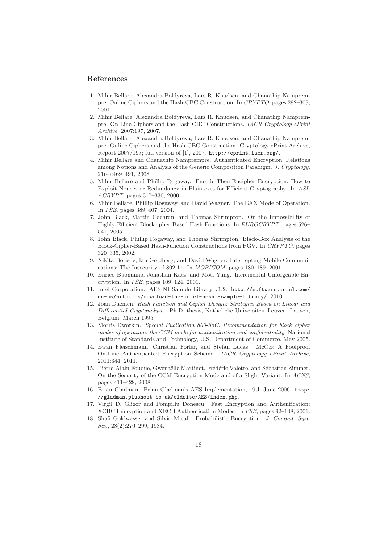### References

- 1. Mihir Bellare, Alexandra Boldyreva, Lars R. Knudsen, and Chanathip Namprempre. Online Ciphers and the Hash-CBC Construction. In CRYPTO, pages 292–309, 2001.
- 2. Mihir Bellare, Alexandra Boldyreva, Lars R. Knudsen, and Chanathip Namprempre. On-Line Ciphers and the Hash-CBC Constructions. IACR Cryptology ePrint Archive, 2007:197, 2007.
- 3. Mihir Bellare, Alexandra Boldyreva, Lars R. Knudsen, and Chanathip Namprempre. Online Ciphers and the Hash-CBC Construction. Cryptology ePrint Archive, Report 2007/197; full version of [1], 2007. http://eprint.iacr.org/.
- 4. Mihir Bellare and Chanathip Namprempre. Authenticated Encryption: Relations among Notions and Analysis of the Generic Composition Paradigm. J. Cryptology, 21(4):469–491, 2008.
- 5. Mihir Bellare and Phillip Rogaway. Encode-Then-Encipher Encryption: How to Exploit Nonces or Redundancy in Plaintexts for Efficient Cryptography. In ASI-ACRYPT, pages 317–330, 2000.
- 6. Mihir Bellare, Phillip Rogaway, and David Wagner. The EAX Mode of Operation. In FSE, pages 389–407, 2004.
- 7. John Black, Martin Cochran, and Thomas Shrimpton. On the Impossibility of Highly-Efficient Blockcipher-Based Hash Functions. In EUROCRYPT, pages 526– 541, 2005.
- 8. John Black, Phillip Rogaway, and Thomas Shrimpton. Black-Box Analysis of the Block-Cipher-Based Hash-Function Constructions from PGV. In CRYPTO, pages 320–335, 2002.
- 9. Nikita Borisov, Ian Goldberg, and David Wagner. Intercepting Mobile Communications: The Insecurity of 802.11. In MOBICOM, pages 180–189, 2001.
- 10. Enrico Buonanno, Jonathan Katz, and Moti Yung. Incremental Unforgeable Encryption. In FSE, pages 109–124, 2001.
- 11. Intel Corporation. AES-NI Sample Library v1.2. http://software.intel.com/ en-us/articles/download-the-intel-aesni-sample-library/, 2010.
- 12. Joan Daemen. Hash Function and Cipher Design: Strategies Based on Linear and Differential Cryptanalysis. Ph.D. thesis, Katholieke Universiteit Leuven, Leuven, Belgium, March 1995.
- 13. Morris Dworkin. Special Publication 800-38C: Recommendation for block cipher modes of operation: the CCM mode for authentication and confidentiality. National Institute of Standards and Technology, U.S. Department of Commerce, May 2005.
- 14. Ewan Fleischmann, Christian Forler, and Stefan Lucks. McOE: A Foolproof On-Line Authenticated Encryption Scheme. IACR Cryptology ePrint Archive, 2011:644, 2011.
- 15. Pierre-Alain Fouque, Gwenaëlle Martinet, Frédéric Valette, and Sébastien Zimmer. On the Security of the CCM Encryption Mode and of a Slight Variant. In ACNS, pages 411–428, 2008.
- 16. Brian Gladman. Brian Gladman's AES Implementation, 19th June 2006. http: //gladman.plushost.co.uk/oldsite/AES/index.php.
- 17. Virgil D. Gligor and Pompiliu Donescu. Fast Encryption and Authentication: XCBC Encryption and XECB Authentication Modes. In FSE, pages 92–108, 2001.
- 18. Shafi Goldwasser and Silvio Micali. Probabilistic Encryption. J. Comput. Syst. Sci., 28(2):270–299, 1984.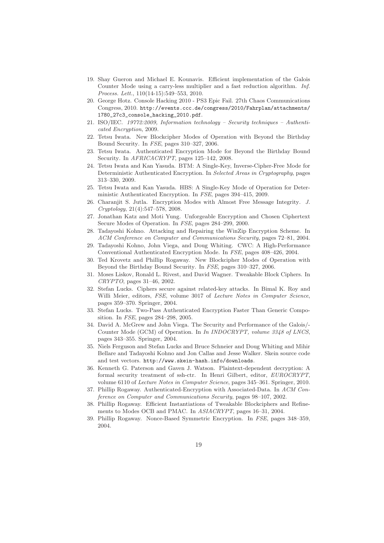- 19. Shay Gueron and Michael E. Kounavis. Efficient implementation of the Galois Counter Mode using a carry-less multiplier and a fast reduction algorithm. Inf. Process. Lett., 110(14-15):549–553, 2010.
- 20. George Hotz. Console Hacking 2010 PS3 Epic Fail. 27th Chaos Communications Congress, 2010. http://events.ccc.de/congress/2010/Fahrplan/attachments/ 1780\_27c3\_console\_hacking\_2010.pdf.
- 21. ISO/IEC. 19772:2009, Information technology Security techniques Authenticated Encryption, 2009.
- 22. Tetsu Iwata. New Blockcipher Modes of Operation with Beyond the Birthday Bound Security. In FSE, pages 310–327, 2006.
- 23. Tetsu Iwata. Authenticated Encryption Mode for Beyond the Birthday Bound Security. In AFRICACRYPT, pages 125–142, 2008.
- 24. Tetsu Iwata and Kan Yasuda. BTM: A Single-Key, Inverse-Cipher-Free Mode for Deterministic Authenticated Encryption. In Selected Areas in Cryptography, pages 313–330, 2009.
- 25. Tetsu Iwata and Kan Yasuda. HBS: A Single-Key Mode of Operation for Deterministic Authenticated Encryption. In FSE, pages 394–415, 2009.
- 26. Charanjit S. Jutla. Encryption Modes with Almost Free Message Integrity. J. Cryptology, 21(4):547–578, 2008.
- 27. Jonathan Katz and Moti Yung. Unforgeable Encryption and Chosen Ciphertext Secure Modes of Operation. In FSE, pages 284–299, 2000.
- 28. Tadayoshi Kohno. Attacking and Repairing the WinZip Encryption Scheme. In ACM Conference on Computer and Communications Security, pages 72–81, 2004.
- 29. Tadayoshi Kohno, John Viega, and Doug Whiting. CWC: A High-Performance Conventional Authenticated Encryption Mode. In FSE, pages 408–426, 2004.
- 30. Ted Krovetz and Phillip Rogaway. New Blockcipher Modes of Operation with Beyond the Birthday Bound Security. In FSE, pages 310–327, 2006.
- 31. Moses Liskov, Ronald L. Rivest, and David Wagner. Tweakable Block Ciphers. In CRYPTO, pages 31–46, 2002.
- 32. Stefan Lucks. Ciphers secure against related-key attacks. In Bimal K. Roy and Willi Meier, editors, FSE, volume 3017 of Lecture Notes in Computer Science, pages 359–370. Springer, 2004.
- 33. Stefan Lucks. Two-Pass Authenticated Encryption Faster Than Generic Composition. In FSE, pages 284–298, 2005.
- 34. David A. McGrew and John Viega. The Security and Performance of the Galois/- Counter Mode (GCM) of Operation. In In INDOCRYPT, volume 3348 of LNCS, pages 343–355. Springer, 2004.
- 35. Niels Ferguson and Stefan Lucks and Bruce Schneier and Doug Whiting and Mihir Bellare and Tadayoshi Kohno and Jon Callas and Jesse Walker. Skein source code and test vectors. http://www.skein-hash.info/downloads.
- 36. Kenneth G. Paterson and Gaven J. Watson. Plaintext-dependent decryption: A formal security treatment of ssh-ctr. In Henri Gilbert, editor, EUROCRYPT, volume 6110 of Lecture Notes in Computer Science, pages 345–361. Springer, 2010.
- 37. Phillip Rogaway. Authenticated-Encryption with Associated-Data. In ACM Conference on Computer and Communications Security, pages 98–107, 2002.
- 38. Phillip Rogaway. Efficient Instantiations of Tweakable Blockciphers and Refinements to Modes OCB and PMAC. In ASIACRYPT, pages 16–31, 2004.
- 39. Phillip Rogaway. Nonce-Based Symmetric Encryption. In FSE, pages 348–359, 2004.